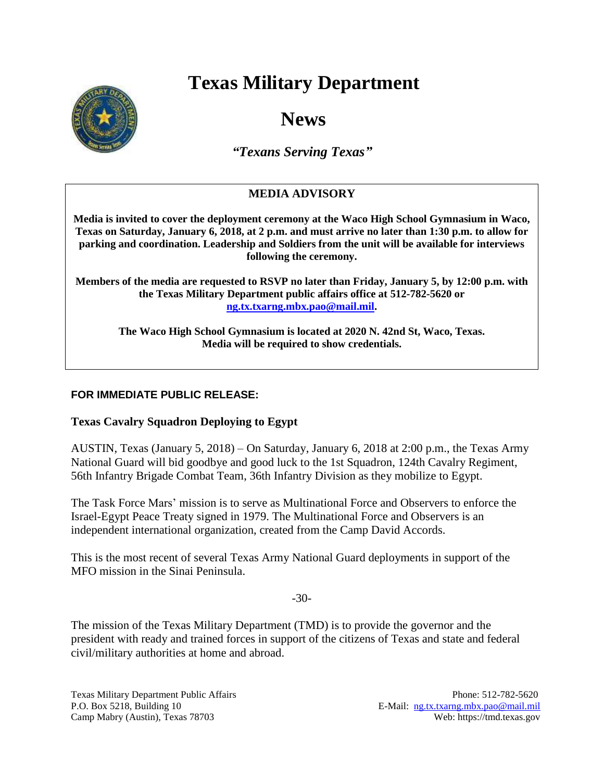# **Texas Military Department**



# **News**

*"Texans Serving Texas"*

## **MEDIA ADVISORY**

**Media is invited to cover the deployment ceremony at the Waco High School Gymnasium in Waco, Texas on Saturday, January 6, 2018, at 2 p.m. and must arrive no later than 1:30 p.m. to allow for parking and coordination. Leadership and Soldiers from the unit will be available for interviews following the ceremony.**

**Members of the media are requested to RSVP no later than Friday, January 5, by 12:00 p.m. with the Texas Military Department public affairs office at 512-782-5620 or [ng.tx.txarng.mbx.pao@mail.mil.](mailto:ng.tx.txarng.mbx.pao@mail.mil)**

**The Waco High School Gymnasium is located at 2020 N. 42nd St, Waco, Texas. Media will be required to show credentials.**

### **FOR IMMEDIATE PUBLIC RELEASE:**

#### **Texas Cavalry Squadron Deploying to Egypt**

AUSTIN, Texas (January 5, 2018) – On Saturday, January 6, 2018 at 2:00 p.m., the Texas Army National Guard will bid goodbye and good luck to the 1st Squadron, 124th Cavalry Regiment, 56th Infantry Brigade Combat Team, 36th Infantry Division as they mobilize to Egypt.

The Task Force Mars' mission is to serve as Multinational Force and Observers to enforce the Israel-Egypt Peace Treaty signed in 1979. The Multinational Force and Observers is an independent international organization, created from the Camp David Accords.

This is the most recent of several Texas Army National Guard deployments in support of the MFO mission in the Sinai Peninsula.

-30-

The mission of the Texas Military Department (TMD) is to provide the governor and the president with ready and trained forces in support of the citizens of Texas and state and federal civil/military authorities at home and abroad.

Texas Military Department Public Affairs Phone: 512-782-5620 P.O. Box 5218, Building 10 E-Mail: [ng.tx.txarng.mbx.pao@mail.mil](mailto:ng.tx.txarng.mbx.pao@mail.mil) Camp Mabry (Austin), Texas 78703 Web: https://tmd.texas.gov